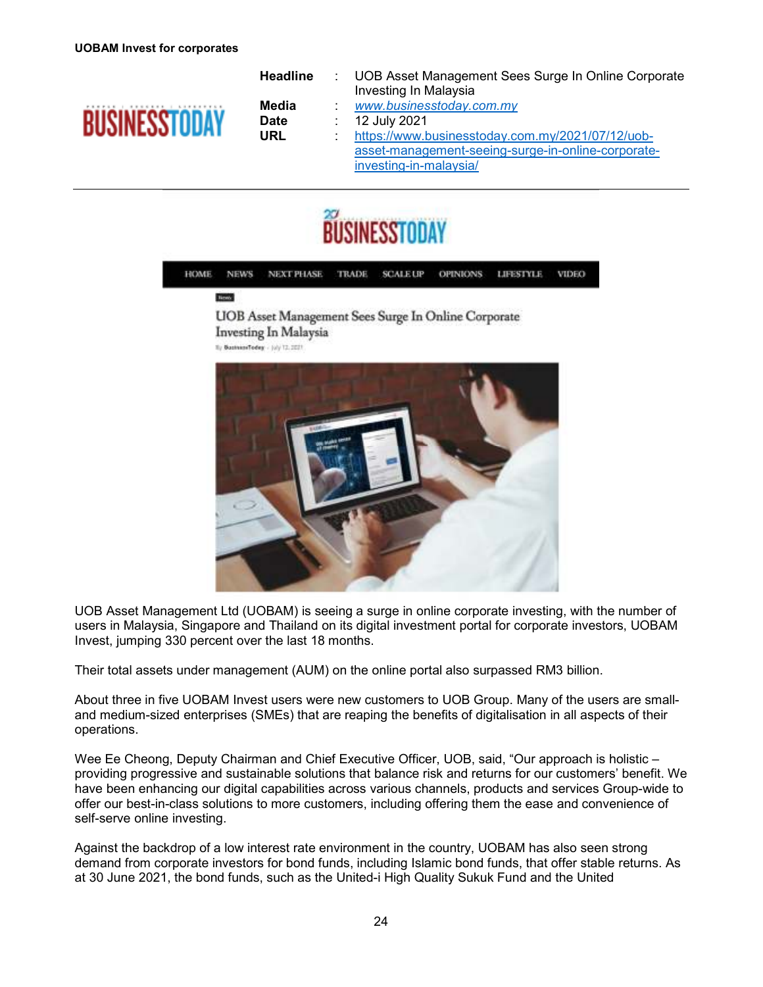

**Headline** : UOB Asset Management Sees Surge In Online Corporate Investing In Malaysia  **Media** : *www.businesstoday.com.my*  **Date** : 12 July 2021  **URL** : https://www.businesstoday.com.my/2021/07/12/uobasset-management-seeing-surge-in-online-corporateinvesting-in-malaysia/





**UOB** Asset Management Sees Surge In Online Corporate Investing In Malaysia Ty BusinessTodey - (uly 12.2021)



UOB Asset Management Ltd (UOBAM) is seeing a surge in online corporate investing, with the number of users in Malaysia, Singapore and Thailand on its digital investment portal for corporate investors, UOBAM Invest, jumping 330 percent over the last 18 months.

Their total assets under management (AUM) on the online portal also surpassed RM3 billion.

About three in five UOBAM Invest users were new customers to UOB Group. Many of the users are smalland medium-sized enterprises (SMEs) that are reaping the benefits of digitalisation in all aspects of their operations.

Wee Ee Cheong, Deputy Chairman and Chief Executive Officer, UOB, said, "Our approach is holistic – providing progressive and sustainable solutions that balance risk and returns for our customers' benefit. We have been enhancing our digital capabilities across various channels, products and services Group-wide to offer our best-in-class solutions to more customers, including offering them the ease and convenience of self-serve online investing.

Against the backdrop of a low interest rate environment in the country, UOBAM has also seen strong demand from corporate investors for bond funds, including Islamic bond funds, that offer stable returns. As at 30 June 2021, the bond funds, such as the United-i High Quality Sukuk Fund and the United